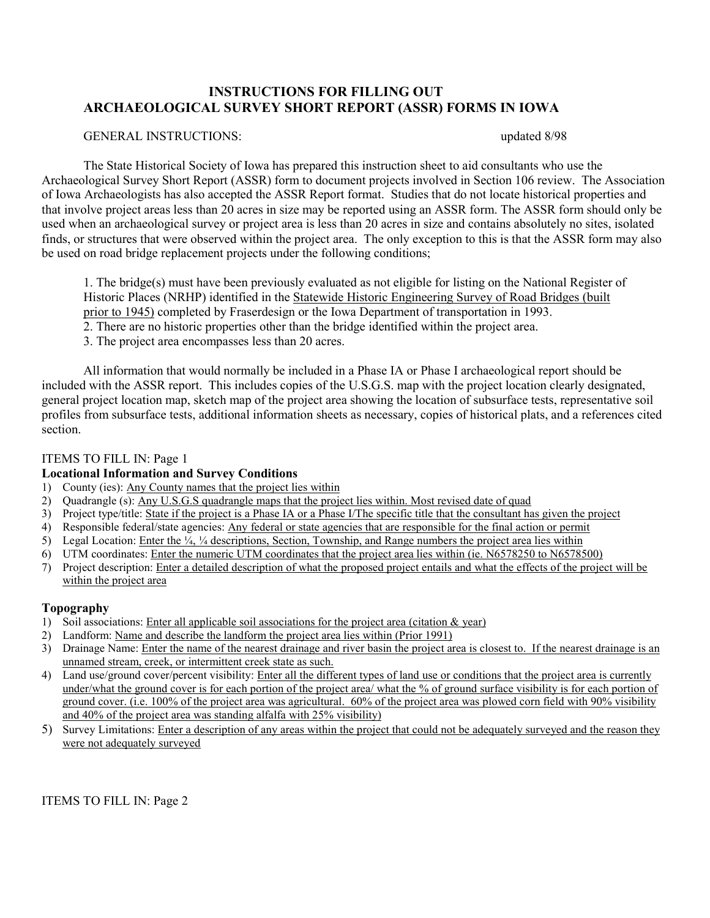### **INSTRUCTIONS FOR FILLING OUT ARCHAEOLOGICAL SURVEY SHORT REPORT (ASSR) FORMS IN IOWA**

#### GENERAL INSTRUCTIONS: updated 8/98

The State Historical Society of Iowa has prepared this instruction sheet to aid consultants who use the Archaeological Survey Short Report (ASSR) form to document projects involved in Section 106 review. The Association of Iowa Archaeologists has also accepted the ASSR Report format. Studies that do not locate historical properties and that involve project areas less than 20 acres in size may be reported using an ASSR form. The ASSR form should only be used when an archaeological survey or project area is less than 20 acres in size and contains absolutely no sites, isolated finds, or structures that were observed within the project area. The only exception to this is that the ASSR form may also be used on road bridge replacement projects under the following conditions;

1. The bridge(s) must have been previously evaluated as not eligible for listing on the National Register of Historic Places (NRHP) identified in the Statewide Historic Engineering Survey of Road Bridges (built prior to 1945) completed by Fraserdesign or the Iowa Department of transportation in 1993.

- 2. There are no historic properties other than the bridge identified within the project area.
- 3. The project area encompasses less than 20 acres.

All information that would normally be included in a Phase IA or Phase I archaeological report should be included with the ASSR report. This includes copies of the U.S.G.S. map with the project location clearly designated, general project location map, sketch map of the project area showing the location of subsurface tests, representative soil profiles from subsurface tests, additional information sheets as necessary, copies of historical plats, and a references cited section.

#### ITEMS TO FILL IN: Page 1

#### **Locational Information and Survey Conditions**

- 1) County (ies): Any County names that the project lies within
- 2) Quadrangle (s): Any U.S.G.S quadrangle maps that the project lies within. Most revised date of quad
- 3) Project type/title: State if the project is a Phase IA or a Phase I/The specific title that the consultant has given the project
- 4) Responsible federal/state agencies: Any federal or state agencies that are responsible for the final action or permit
- 5) Legal Location: Enter the  $\frac{1}{4}$ ,  $\frac{1}{4}$  descriptions, Section, Township, and Range numbers the project area lies within
- 6) UTM coordinates: Enter the numeric UTM coordinates that the project area lies within (ie. N6578250 to N6578500)
- 7) Project description: Enter a detailed description of what the proposed project entails and what the effects of the project will be within the project area

#### **Topography**

- 1) Soil associations: Enter all applicable soil associations for the project area (citation  $\&$  year)
- 2) Landform: Name and describe the landform the project area lies within (Prior 1991)
- 3) Drainage Name: Enter the name of the nearest drainage and river basin the project area is closest to. If the nearest drainage is an unnamed stream, creek, or intermittent creek state as such.
- 4) Land use/ground cover/percent visibility: Enter all the different types of land use or conditions that the project area is currently under/what the ground cover is for each portion of the project area/ what the % of ground surface visibility is for each portion of ground cover. (i.e. 100% of the project area was agricultural. 60% of the project area was plowed corn field with 90% visibility and 40% of the project area was standing alfalfa with 25% visibility)
- 5) Survey Limitations: Enter a description of any areas within the project that could not be adequately surveyed and the reason they were not adequately surveyed

ITEMS TO FILL IN: Page 2